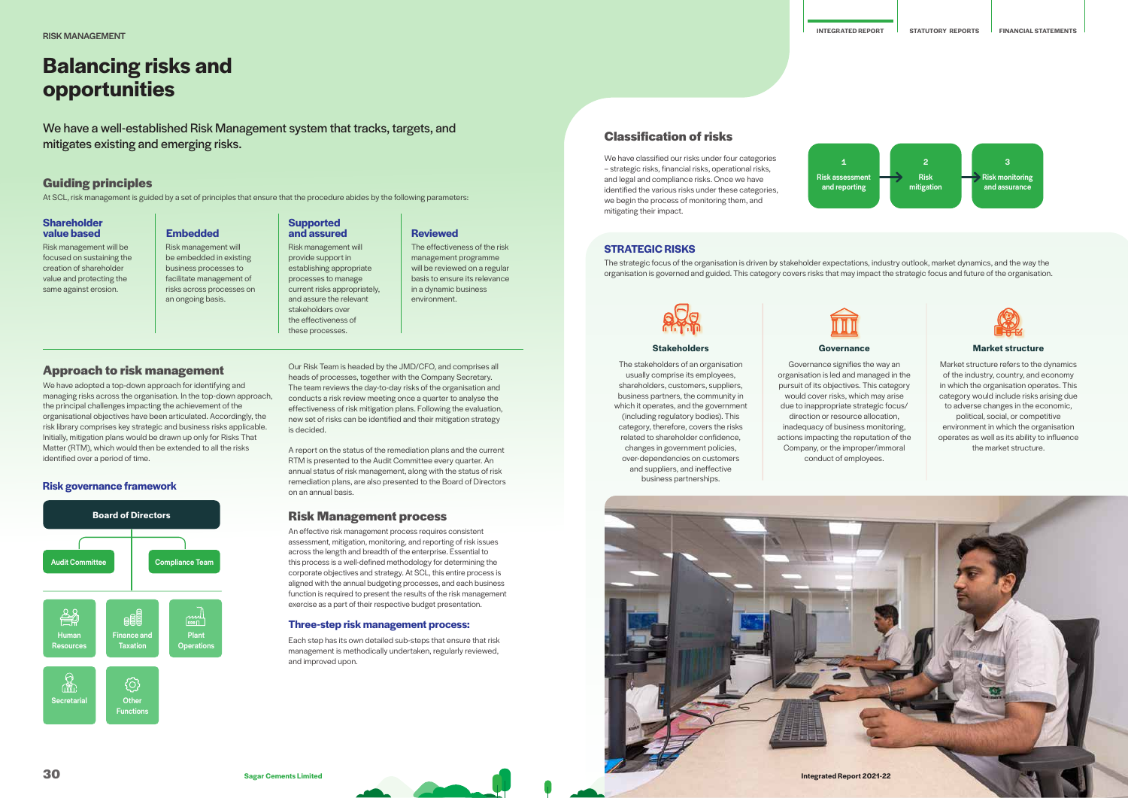# **Balancing risks and opportunities**

We have a well-established Risk Management system that tracks, targets, and mitigates existing and emerging risks.

**Approach to risk management** We have adopted a top-down approach for identifying and managing risks across the organisation. In the top-down approach, the principal challenges impacting the achievement of the organisational objectives have been articulated. Accordingly, the risk library comprises key strategic and business risks applicable. Initially, mitigation plans would be drawn up only for Risks That Matter (RTM), which would then be extended to all the risks

identified over a period of time.

# **Guiding principles**

At SCL, risk management is guided by a set of principles that ensure that the procedure abides by the following parameters:

# **Shareholder value based**

# **Supported Embedded and assured Reviewed**

Risk management will be focused on sustaining the creation of shareholder value and protecting the same against erosion.

Risk management will provide support in establishing appropriate processes to manage current risks appropriately, and assure the relevant stakeholders over the effectiveness of these processes.

Risk management will be embedded in existing business processes to facilitate management of risks across processes on an ongoing basis.

The effectiveness of the risk management programme will be reviewed on a regular basis to ensure its relevance in a dynamic business environment.

Plant **Operation** 

 $\mathbb{L}_{\mathbb{R}^{1000}}$ 

**Risk governance framework**

**Board of Directors**

Audit Committee **Compliance Team** 

**Finance and Taxation** 

**Functions** 

ි

Our Risk Team is headed by the JMD/CFO, and comprises all heads of processes, together with the Company Secretary. The team reviews the day-to-day risks of the organisation and conducts a risk review meeting once a quarter to analyse the effectiveness of risk mitigation plans. Following the evaluation, new set of risks can be identified and their mitigation strategy is decided.

A report on the status of the remediation plans and the current RTM is presented to the Audit Committee every quarter. An annual status of risk management, along with the status of risk remediation plans, are also presented to the Board of Directors on an annual basis.

# **Risk Management process**

An effective risk management process requires consistent assessment, mitigation, monitoring, and reporting of risk issues across the length and breadth of the enterprise. Essential to this process is a well-defined methodology for determining the corporate objectives and strategy. At SCL, this entire process is aligned with the annual budgeting processes, and each business function is required to present the results of the risk management exercise as a part of their respective budget presentation.

# **Three-step risk management process:**

Each step has its own detailed sub-steps that ensure that risk management is methodically undertaken, regularly reviewed, and improved upon.

Human Resources

 $\begin{matrix} \mathbb{R}^n \\ \mathbb{R}^n \end{matrix}$ 

₩

Secretarial **Other** 

# **STRATEGIC RISKS**

The strategic focus of the organisation is driven by stakeholder expectations, industry outlook, market dynamics, and the way the organisation is governed and guided. This category covers risks that may impact the strategic focus and future of the organisation.

# **Stakeholders**

The stakeholders of an organisation usually comprise its employees, shareholders, customers, suppliers, business partners, the community in which it operates, and the government (including regulatory bodies). This category, therefore, covers the risks related to shareholder confidence, changes in government policies, over-dependencies on customers and suppliers, and ineffective business partnerships.



## Governance signifies the way an organisation is led and managed in the pursuit of its objectives. This category would cover risks, which may arise due to inappropriate strategic focus/ direction or resource allocation, inadequacy of business monitoring, actions impacting the reputation of the Company, or the improper/immoral conduct of employees.



## **Market structure**

Market structure refers to the dynamics of the industry, country, and economy in which the organisation operates. This category would include risks arising due to adverse changes in the economic, political, social, or competitive environment in which the organisation operates as well as its ability to influence the market structure.

# **Classification of risks**

We have classified our risks under four categories – strategic risks, financial risks, operational risks, and legal and compliance risks. Once we have identified the various risks under these categories, we begin the process of monitoring them, and mitigating their impact.







Risk assessment and reporting 1